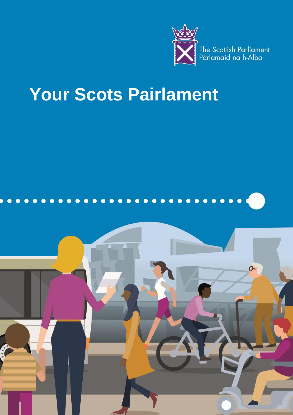

# **Your Scots Pairlament**

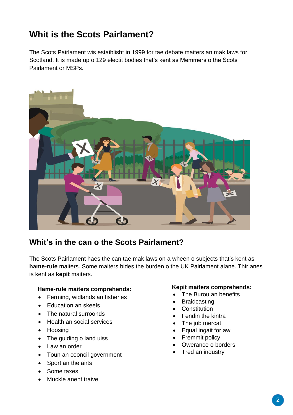# **Whit is the Scots Pairlament?**

The Scots Pairlament wis estaiblisht in 1999 for tae debate maiters an mak laws for Scotland. It is made up o 129 electit bodies that's kent as Memmers o the Scots Pairlament or MSPs.



## **Whit's in the can o the Scots Pairlament?**

The Scots Pairlament haes the can tae mak laws on a wheen o subjects that's kent as **hame-rule** maiters. Some maiters bides the burden o the UK Pairlament alane. Thir anes is kent as **kepit** maiters.

### **Hame-rule maiters comprehends:**

- Ferming, widlands an fisheries
- Education an skeels
- The natural surroonds
- Health an social services
- Hoosing
- The guiding o land uiss
- Law an order
- Toun an cooncil government
- Sport an the airts
- Some taxes
- Muckle anent traivel

### **Kepit maiters comprehends:**

- The Burou an benefits
- **Braidcasting**
- **•** Constitution
- Fendin the kintra
- The job mercat
- Equal ingait for aw
- Fremmit policy
- Owerance o borders
- Tred an industry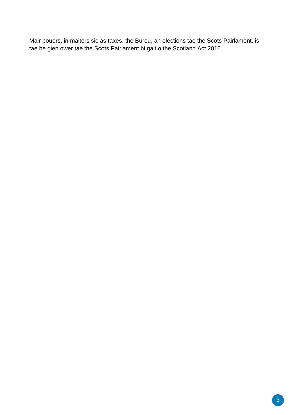Mair pouers, in maiters sic as taxes, the Burou, an elections tae the Scots Pairlament, is tae be gien ower tae the Scots Pairlament bi gait o the Scotland Act 2016.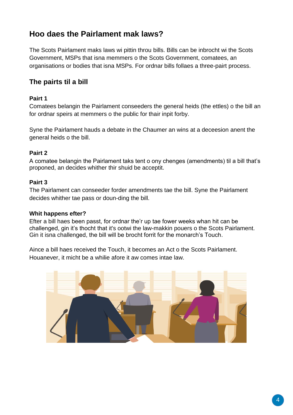# **Hoo daes the Pairlament mak laws?**

The Scots Pairlament maks laws wi pittin throu bills. Bills can be inbrocht wi the Scots Government, MSPs that isna memmers o the Scots Government, comatees, an organisations or bodies that isna MSPs. For ordnar bills follaes a three-pairt process.

## **The pairts til a bill**

## **Pairt 1**

Comatees belangin the Pairlament conseeders the general heids (the ettles) o the bill an for ordnar speirs at memmers o the public for thair inpit forby.

Syne the Pairlament hauds a debate in the Chaumer an wins at a deceesion anent the general heids o the bill.

## **Pairt 2**

A comatee belangin the Pairlament taks tent o ony chenges (amendments) til a bill that's proponed, an decides whither thir shuid be acceptit.

## **Pairt 3**

The Pairlament can conseeder forder amendments tae the bill. Syne the Pairlament decides whither tae pass or doun-ding the bill.

### **Whit happens efter?**

Efter a bill haes been passt, for ordnar the'r up tae fower weeks whan hit can be challenged, gin it's thocht that it's ootwi the law-makkin pouers o the Scots Pairlament. Gin it isna challenged, the bill will be brocht forrit for the monarch's Touch.

Aince a bill haes received the Touch, it becomes an Act o the Scots Pairlament. Houanever, it micht be a whilie afore it aw comes intae law.

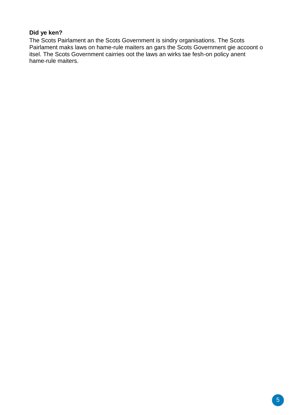## **Did ye ken?**

The Scots Pairlament an the Scots Government is sindry organisations. The Scots Pairlament maks laws on hame-rule maiters an gars the Scots Government gie accoont o itsel. The Scots Government cairries oot the laws an wirks tae fesh-on policy anent hame-rule maiters.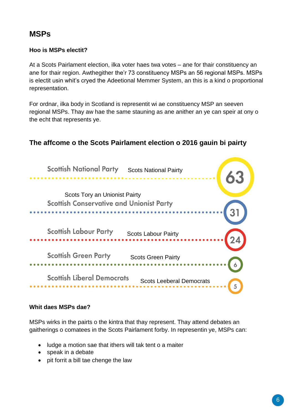# **MSPs**

## **Hoo is MSPs electit?**

At a Scots Pairlament election, ilka voter haes twa votes – ane for thair constituency an ane for thair region. Awthegither the'r 73 constituency MSPs an 56 regional MSPs. MSPs is electit usin whit's cryed the Adeetional Memmer System, an this is a kind o proportional representation.

For ordnar, ilka body in Scotland is representit wi ae constituency MSP an seeven regional MSPs. Thay aw hae the same stauning as ane anither an ye can speir at ony o the echt that represents ye.

## **The affcome o the Scots Pairlament election o 2016 gauin bi pairty**



## **Whit daes MSPs dae?**

MSPs wirks in the pairts o the kintra that thay represent. Thay attend debates an gaitherings o comatees in the Scots Pairlament forby. In representin ye, MSPs can:

- ludge a motion sae that ithers will tak tent o a maiter
- speak in a debate
- pit forrit a bill tae chenge the law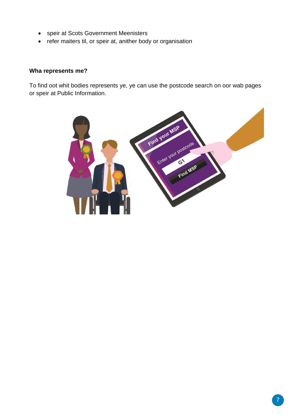- speir at Scots Government Meenisters
- refer maiters til, or speir at, anither body or organisation

## **Wha represents me?**

To find oot whit bodies represents ye, ye can use the postcode search on oor wab pages or speir at Public Information.

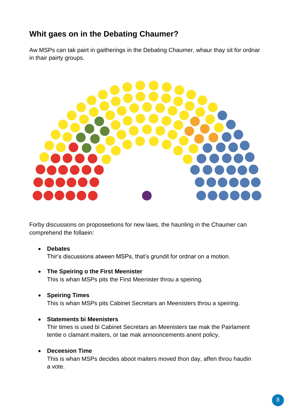# **Whit gaes on in the Debating Chaumer?**

Aw MSPs can tak pairt in gaitherings in the Debating Chaumer, whaur thay sit for ordnar in thair pairty groups.



Forby discussions on proposeetions for new laws, the haunling in the Chaumer can comprehend the follaein:

- **Debates**  Thir's discussions atween MSPs, that's grundit for ordnar on a motion.
- **The Speiring o the First Meenister** This is whan MSPs pits the First Meenister throu a speiring.
- **Speiring Times**  This is whan MSPs pits Cabinet Secretars an Meenisters throu a speiring.
- **Statements bi Meenisters**

Thir times is used bi Cabinet Secretars an Meenisters tae mak the Pairlament tentie o clamant maiters, or tae mak annooncements anent policy.

## **Deceesion Time**

This is whan MSPs decides aboot maiters moved thon day, affen throu haudin a vote.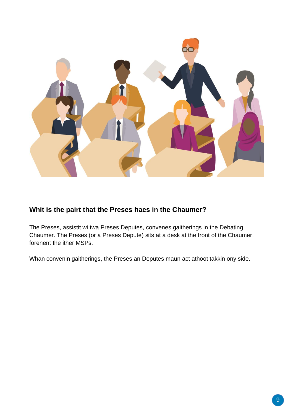

## **Whit is the pairt that the Preses haes in the Chaumer?**

The Preses, assistit wi twa Preses Deputes, convenes gaitherings in the Debating Chaumer. The Preses (or a Preses Depute) sits at a desk at the front of the Chaumer, forenent the ither MSPs.

Whan convenin gaitherings, the Preses an Deputes maun act athoot takkin ony side.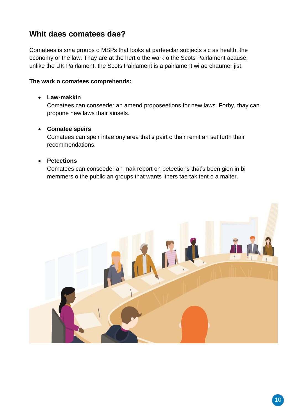# **Whit daes comatees dae?**

Comatees is sma groups o MSPs that looks at parteeclar subjects sic as health, the economy or the law. Thay are at the hert o the wark o the Scots Pairlament acause, unlike the UK Pairlament, the Scots Pairlament is a pairlament wi ae chaumer jist.

## **The wark o comatees comprehends:**

## **Law-makkin**

Comatees can conseeder an amend proposeetions for new laws. Forby, thay can propone new laws thair ainsels.

## **Comatee speirs**

Comatees can speir intae ony area that's pairt o thair remit an set furth thair recommendations.

## **Peteetions**

Comatees can conseeder an mak report on peteetions that's been gien in bi memmers o the public an groups that wants ithers tae tak tent o a maiter.

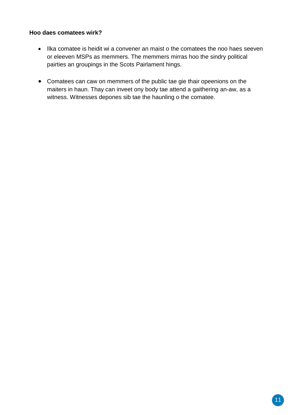## **Hoo daes comatees wirk?**

- Ilka comatee is heidit wi a convener an maist o the comatees the noo haes seeven or eleeven MSPs as memmers. The memmers mirras hoo the sindry political pairties an groupings in the Scots Pairlament hings.
- Comatees can caw on memmers of the public tae gie thair opeenions on the maiters in haun. Thay can inveet ony body tae attend a gaithering an-aw, as a witness. Witnesses depones sib tae the haunling o the comatee.